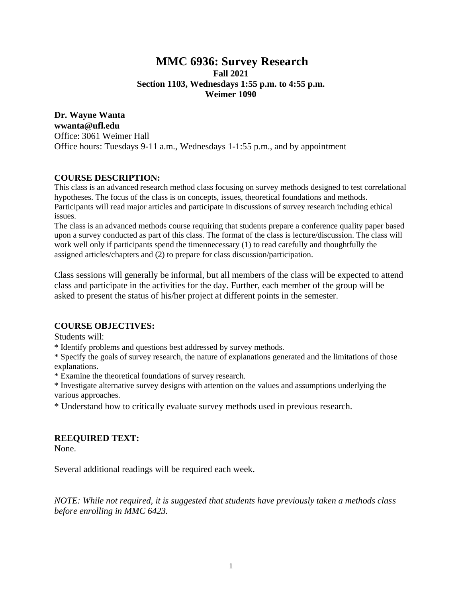# **MMC 6936: Survey Research Fall 2021 Section 1103, Wednesdays 1:55 p.m. to 4:55 p.m. Weimer 1090**

**Dr. Wayne Wanta wwanta@ufl.edu** Office: 3061 Weimer Hall Office hours: Tuesdays 9-11 a.m., Wednesdays 1-1:55 p.m., and by appointment

## **COURSE DESCRIPTION:**

This class is an advanced research method class focusing on survey methods designed to test correlational hypotheses. The focus of the class is on concepts, issues, theoretical foundations and methods. Participants will read major articles and participate in discussions of survey research including ethical issues.

The class is an advanced methods course requiring that students prepare a conference quality paper based upon a survey conducted as part of this class. The format of the class is lecture/discussion. The class will work well only if participants spend the timennecessary (1) to read carefully and thoughtfully the assigned articles/chapters and (2) to prepare for class discussion/participation.

Class sessions will generally be informal, but all members of the class will be expected to attend class and participate in the activities for the day. Further, each member of the group will be asked to present the status of his/her project at different points in the semester.

### **COURSE OBJECTIVES:**

Students will:

\* Identify problems and questions best addressed by survey methods.

\* Specify the goals of survey research, the nature of explanations generated and the limitations of those explanations.

\* Examine the theoretical foundations of survey research.

\* Investigate alternative survey designs with attention on the values and assumptions underlying the various approaches.

\* Understand how to critically evaluate survey methods used in previous research.

### **REEQUIRED TEXT:**

None.

Several additional readings will be required each week.

*NOTE: While not required, it is suggested that students have previously taken a methods class before enrolling in MMC 6423.*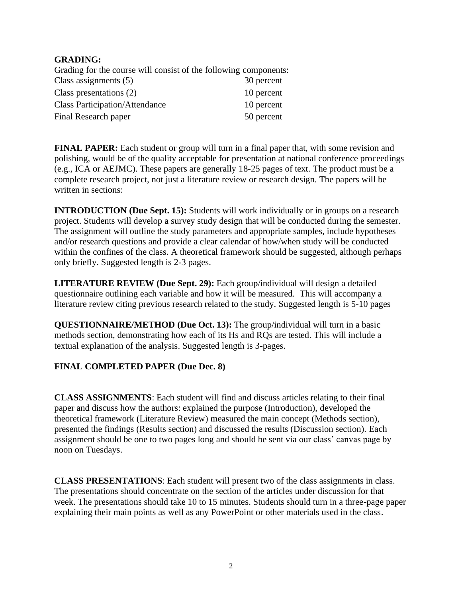## **GRADING:**

Grading for the course will consist of the following components: Class assignments (5) 30 percent Class presentations (2) 10 percent Class Participation/Attendance 10 percent Final Research paper 50 percent

**FINAL PAPER:** Each student or group will turn in a final paper that, with some revision and polishing, would be of the quality acceptable for presentation at national conference proceedings (e.g., ICA or AEJMC). These papers are generally 18-25 pages of text. The product must be a complete research project, not just a literature review or research design. The papers will be written in sections:

**INTRODUCTION** (Due Sept. 15): Students will work individually or in groups on a research project. Students will develop a survey study design that will be conducted during the semester. The assignment will outline the study parameters and appropriate samples, include hypotheses and/or research questions and provide a clear calendar of how/when study will be conducted within the confines of the class. A theoretical framework should be suggested, although perhaps only briefly. Suggested length is 2-3 pages.

**LITERATURE REVIEW (Due Sept. 29):** Each group/individual will design a detailed questionnaire outlining each variable and how it will be measured. This will accompany a literature review citing previous research related to the study. Suggested length is 5-10 pages

**QUESTIONNAIRE/METHOD** (Due Oct. 13): The group/individual will turn in a basic methods section, demonstrating how each of its Hs and RQs are tested. This will include a textual explanation of the analysis. Suggested length is 3-pages.

# **FINAL COMPLETED PAPER (Due Dec. 8)**

**CLASS ASSIGNMENTS**: Each student will find and discuss articles relating to their final paper and discuss how the authors: explained the purpose (Introduction), developed the theoretical framework (Literature Review) measured the main concept (Methods section), presented the findings (Results section) and discussed the results (Discussion section). Each assignment should be one to two pages long and should be sent via our class' canvas page by noon on Tuesdays.

**CLASS PRESENTATIONS**: Each student will present two of the class assignments in class. The presentations should concentrate on the section of the articles under discussion for that week. The presentations should take 10 to 15 minutes. Students should turn in a three-page paper explaining their main points as well as any PowerPoint or other materials used in the class.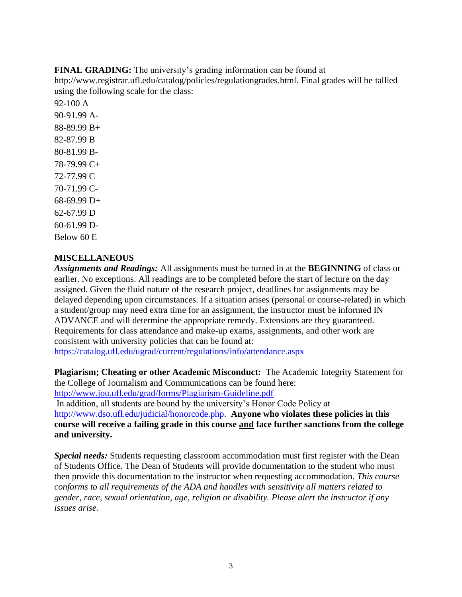**FINAL GRADING:** The university's grading information can be found at http://www.registrar.ufl.edu/catalog/policies/regulationgrades.html. Final grades will be tallied using the following scale for the class:

92-100 A 90-91.99 A-88-89.99 B+ 82-87.99 B 80-81.99 B-78-79.99 C+ 72-77.99 C 70-71.99 C-68-69.99 D+ 62-67.99 D 60-61.99 D-Below 60 E

# **MISCELLANEOUS**

*Assignments and Readings:* All assignments must be turned in at the **BEGINNING** of class or earlier. No exceptions. All readings are to be completed before the start of lecture on the day assigned. Given the fluid nature of the research project, deadlines for assignments may be delayed depending upon circumstances. If a situation arises (personal or course-related) in which a student/group may need extra time for an assignment, the instructor must be informed IN ADVANCE and will determine the appropriate remedy. Extensions are they guaranteed. Requirements for class attendance and make-up exams, assignments, and other work are consistent with university policies that can be found at: https://catalog.ufl.edu/ugrad/current/regulations/info/attendance.aspx

**Plagiarism; Cheating or other Academic Misconduct:** The Academic Integrity Statement for the College of Journalism and Communications can be found here:

<http://www.jou.ufl.edu/grad/forms/Plagiarism-Guideline.pdf>

In addition, all students are bound by the university's Honor Code Policy at [http://www.dso.ufl.edu/judicial/honorcode.php.](http://www.dso.ufl.edu/judicial/honorcode.php) **Anyone who violates these policies in this course will receive a failing grade in this course and face further sanctions from the college and university.** 

*Special needs:* Students requesting classroom accommodation must first register with the Dean of Students Office. The Dean of Students will provide documentation to the student who must then provide this documentation to the instructor when requesting accommodation. *This course conforms to all requirements of the ADA and handles with sensitivity all matters related to gender, race, sexual orientation, age, religion or disability. Please alert the instructor if any issues arise.*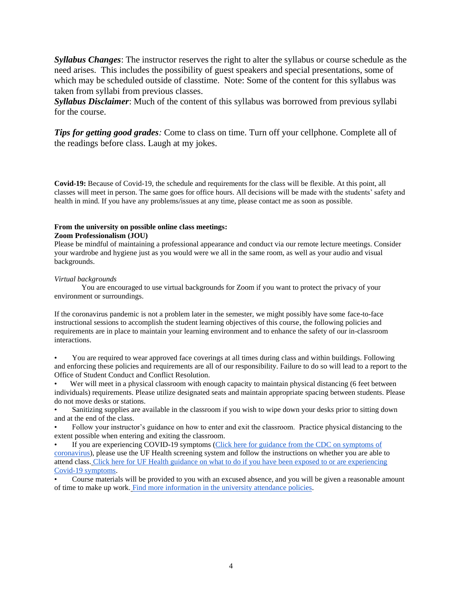*Syllabus Changes*: The instructor reserves the right to alter the syllabus or course schedule as the need arises. This includes the possibility of guest speakers and special presentations, some of which may be scheduled outside of classtime. Note: Some of the content for this syllabus was taken from syllabi from previous classes.

*Syllabus Disclaimer*: Much of the content of this syllabus was borrowed from previous syllabi for the course.

*Tips for getting good grades:* Come to class on time. Turn off your cellphone. Complete all of the readings before class. Laugh at my jokes.

**Covid-19:** Because of Covid-19, the schedule and requirements for the class will be flexible. At this point, all classes will meet in person. The same goes for office hours. All decisions will be made with the students' safety and health in mind. If you have any problems/issues at any time, please contact me as soon as possible.

#### **From the university on possible online class meetings:**

#### **Zoom Professionalism (JOU)**

Please be mindful of maintaining a professional appearance and conduct via our remote lecture meetings. Consider your wardrobe and hygiene just as you would were we all in the same room, as well as your audio and visual backgrounds.

#### *Virtual backgrounds*

You are encouraged to use virtual backgrounds for Zoom if you want to protect the privacy of your environment or surroundings.

If the coronavirus pandemic is not a problem later in the semester, we might possibly have some face-to-face instructional sessions to accomplish the student learning objectives of this course, the following policies and requirements are in place to maintain your learning environment and to enhance the safety of our in-classroom interactions.

• You are required to wear approved face coverings at all times during class and within buildings. Following and enforcing these policies and requirements are all of our responsibility. Failure to do so will lead to a report to the Office of Student Conduct and Conflict Resolution.

Wer will meet in a physical classroom with enough capacity to maintain physical distancing (6 feet between individuals) requirements. Please utilize designated seats and maintain appropriate spacing between students. Please do not move desks or stations.

• Sanitizing supplies are available in the classroom if you wish to wipe down your desks prior to sitting down and at the end of the class.

• Follow your instructor's guidance on how to enter and exit the classroom. Practice physical distancing to the extent possible when entering and exiting the classroom.

• If you are experiencing COVID-19 symptoms [\(Click here for guidance from the CDC on symptoms of](https://www.cdc.gov/coronavirus/2019-ncov/symptoms-testing/symptoms.html)  [coronavirus\)](https://www.cdc.gov/coronavirus/2019-ncov/symptoms-testing/symptoms.html), please use the UF Health screening system and follow the instructions on whether you are able to attend class. [Click here for UF Health guidance on what to do if you have been exposed to or are experiencing](https://coronavirus.ufhealth.org/screen-test-protect/covid-19-exposure-and-symptoms-who-do-i-call-if/)  [Covid-19 symptoms.](https://coronavirus.ufhealth.org/screen-test-protect/covid-19-exposure-and-symptoms-who-do-i-call-if/)

• Course materials will be provided to you with an excused absence, and you will be given a reasonable amount of time to make up work. [Find more information in the university attendance policies.](https://catalog.ufl.edu/UGRD/academic-regulations/attendance-policies/)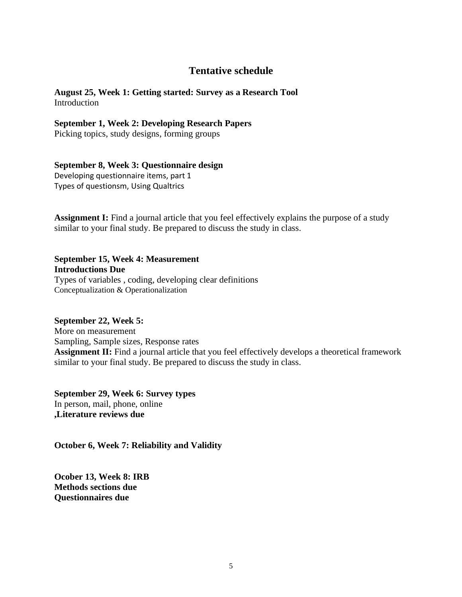# **Tentative schedule**

**August 25, Week 1: Getting started: Survey as a Research Tool**  Introduction

### **September 1, Week 2: Developing Research Papers**

Picking topics, study designs, forming groups

## **September 8, Week 3: Questionnaire design**

Developing questionnaire items, part 1 Types of questionsm, Using Qualtrics

**Assignment I:** Find a journal article that you feel effectively explains the purpose of a study similar to your final study. Be prepared to discuss the study in class.

**September 15, Week 4: Measurement Introductions Due**  Types of variables , coding, developing clear definitions Conceptualization & Operationalization

**September 22, Week 5:**  More on measurement Sampling, Sample sizes, Response rates **Assignment II:** Find a journal article that you feel effectively develops a theoretical framework similar to your final study. Be prepared to discuss the study in class.

**September 29, Week 6: Survey types** In person, mail, phone, online **,Literature reviews due**

**October 6, Week 7: Reliability and Validity** 

**Ocober 13, Week 8: IRB Methods sections due Questionnaires due**